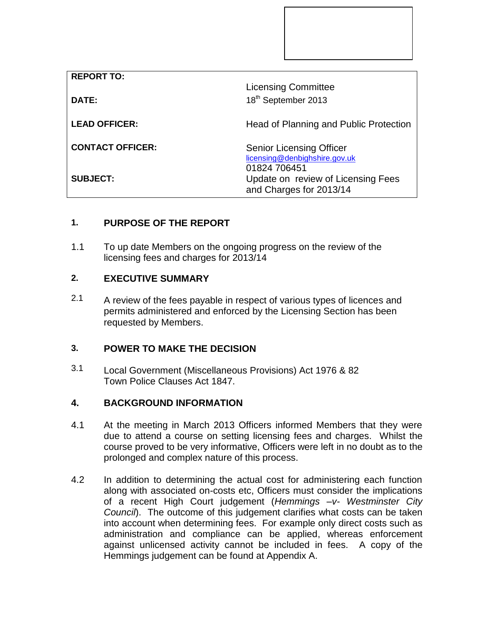| <b>REPORT TO:</b>       |                                                                               |
|-------------------------|-------------------------------------------------------------------------------|
|                         | <b>Licensing Committee</b>                                                    |
| DATE:                   | 18 <sup>th</sup> September 2013                                               |
| <b>LEAD OFFICER:</b>    | Head of Planning and Public Protection                                        |
| <b>CONTACT OFFICER:</b> | <b>Senior Licensing Officer</b><br>licensing@denbighshire.gov.uk              |
| <b>SUBJECT:</b>         | 01824 706451<br>Update on review of Licensing Fees<br>and Charges for 2013/14 |

# **1. PURPOSE OF THE REPORT**

1.1 To up date Members on the ongoing progress on the review of the licensing fees and charges for 2013/14

#### **2. EXECUTIVE SUMMARY**

2.1 A review of the fees payable in respect of various types of licences and permits administered and enforced by the Licensing Section has been requested by Members.

## **3. POWER TO MAKE THE DECISION**

3.1 Local Government (Miscellaneous Provisions) Act 1976 & 82 Town Police Clauses Act 1847.

### **4. BACKGROUND INFORMATION**

- 4.1 At the meeting in March 2013 Officers informed Members that they were due to attend a course on setting licensing fees and charges. Whilst the course proved to be very informative, Officers were left in no doubt as to the prolonged and complex nature of this process.
- 4.2 In addition to determining the actual cost for administering each function along with associated on-costs etc, Officers must consider the implications of a recent High Court judgement (*Hemmings –v- Westminster City Council*). The outcome of this judgement clarifies what costs can be taken into account when determining fees. For example only direct costs such as administration and compliance can be applied, whereas enforcement against unlicensed activity cannot be included in fees. A copy of the Hemmings judgement can be found at Appendix A.